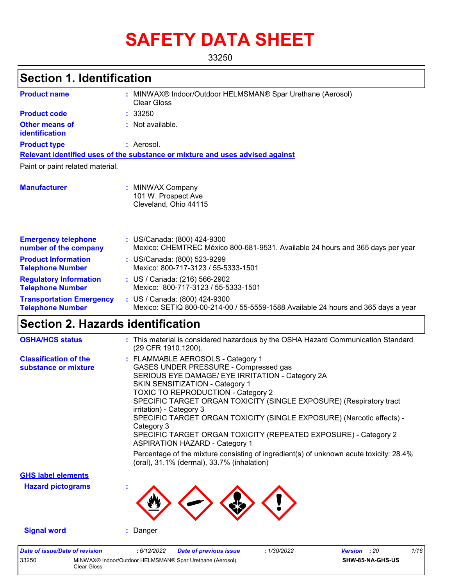# **SAFETY DATA SHEET**

33250

# **Section 1. Identification**

| <b>Product name</b>                                        |    | MINWAX® Indoor/Outdoor HELMSMAN® Spar Urethane (Aerosol)<br><b>Clear Gloss</b>                                     |  |
|------------------------------------------------------------|----|--------------------------------------------------------------------------------------------------------------------|--|
| <b>Product code</b>                                        |    | : 33250                                                                                                            |  |
| Other means of<br>identification                           |    | : Not available.                                                                                                   |  |
| <b>Product type</b>                                        |    | : Aerosol.                                                                                                         |  |
|                                                            |    | Relevant identified uses of the substance or mixture and uses advised against                                      |  |
| Paint or paint related material.                           |    |                                                                                                                    |  |
| <b>Manufacturer</b>                                        | ÷. | <b>MINWAX Company</b><br>101 W. Prospect Ave<br>Cleveland, Ohio 44115                                              |  |
| <b>Emergency telephone</b><br>number of the company        |    | : US/Canada: (800) 424-9300<br>Mexico: CHEMTREC México 800-681-9531. Available 24 hours and 365 days per year      |  |
| <b>Product Information</b><br><b>Telephone Number</b>      |    | : US/Canada: (800) 523-9299<br>Mexico: 800-717-3123 / 55-5333-1501                                                 |  |
| <b>Regulatory Information</b><br><b>Telephone Number</b>   |    | : US / Canada: (216) 566-2902<br>Mexico: 800-717-3123 / 55-5333-1501                                               |  |
| <b>Transportation Emergency</b><br><b>Telephone Number</b> |    | : US / Canada: (800) 424-9300<br>Mexico: SETIQ 800-00-214-00 / 55-5559-1588 Available 24 hours and 365 days a year |  |

# **Section 2. Hazards identification**

Clear Gloss

| <b>OSHA/HCS status</b>                               | : This material is considered hazardous by the OSHA Hazard Communication Standard<br>(29 CFR 1910.1200).                                                                                                                                                                                                                                                                                                                                                                                                                                                                                                                                                     |
|------------------------------------------------------|--------------------------------------------------------------------------------------------------------------------------------------------------------------------------------------------------------------------------------------------------------------------------------------------------------------------------------------------------------------------------------------------------------------------------------------------------------------------------------------------------------------------------------------------------------------------------------------------------------------------------------------------------------------|
| <b>Classification of the</b><br>substance or mixture | : FLAMMABLE AEROSOLS - Category 1<br>GASES UNDER PRESSURE - Compressed gas<br>SERIOUS EYE DAMAGE/ EYE IRRITATION - Category 2A<br>SKIN SENSITIZATION - Category 1<br><b>TOXIC TO REPRODUCTION - Category 2</b><br>SPECIFIC TARGET ORGAN TOXICITY (SINGLE EXPOSURE) (Respiratory tract<br>irritation) - Category 3<br>SPECIFIC TARGET ORGAN TOXICITY (SINGLE EXPOSURE) (Narcotic effects) -<br>Category 3<br>SPECIFIC TARGET ORGAN TOXICITY (REPEATED EXPOSURE) - Category 2<br><b>ASPIRATION HAZARD - Category 1</b><br>Percentage of the mixture consisting of ingredient(s) of unknown acute toxicity: 28.4%<br>(oral), 31.1% (dermal), 33.7% (inhalation) |
| <b>GHS label elements</b>                            |                                                                                                                                                                                                                                                                                                                                                                                                                                                                                                                                                                                                                                                              |
| <b>Hazard pictograms</b>                             |                                                                                                                                                                                                                                                                                                                                                                                                                                                                                                                                                                                                                                                              |
| <b>Signal word</b>                                   | : Danger                                                                                                                                                                                                                                                                                                                                                                                                                                                                                                                                                                                                                                                     |
| <b>Date of issue/Date of revision</b><br>33250       | 1/16<br>: 6/12/2022<br><b>Date of previous issue</b><br>:1/30/2022<br><b>Version</b> : 20<br>MINWAX® Indoor/Outdoor HELMSMAN® Spar Urethane (Aerosol)<br>SHW-85-NA-GHS-US                                                                                                                                                                                                                                                                                                                                                                                                                                                                                    |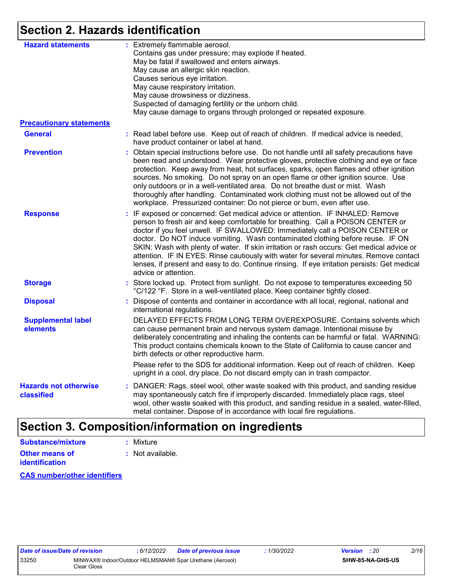# **Section 2. Hazards identification**

| <b>Hazard statements</b>                   | : Extremely flammable aerosol.<br>Contains gas under pressure; may explode if heated.<br>May be fatal if swallowed and enters airways.<br>May cause an allergic skin reaction.<br>Causes serious eye irritation.                                                                                                                                                                                                                                                                                                                                                                                                                                   |
|--------------------------------------------|----------------------------------------------------------------------------------------------------------------------------------------------------------------------------------------------------------------------------------------------------------------------------------------------------------------------------------------------------------------------------------------------------------------------------------------------------------------------------------------------------------------------------------------------------------------------------------------------------------------------------------------------------|
|                                            | May cause respiratory irritation.<br>May cause drowsiness or dizziness.<br>Suspected of damaging fertility or the unborn child.<br>May cause damage to organs through prolonged or repeated exposure.                                                                                                                                                                                                                                                                                                                                                                                                                                              |
| <b>Precautionary statements</b>            |                                                                                                                                                                                                                                                                                                                                                                                                                                                                                                                                                                                                                                                    |
| <b>General</b>                             | : Read label before use. Keep out of reach of children. If medical advice is needed,<br>have product container or label at hand.                                                                                                                                                                                                                                                                                                                                                                                                                                                                                                                   |
| <b>Prevention</b>                          | : Obtain special instructions before use. Do not handle until all safety precautions have<br>been read and understood. Wear protective gloves, protective clothing and eye or face<br>protection. Keep away from heat, hot surfaces, sparks, open flames and other ignition<br>sources. No smoking. Do not spray on an open flame or other ignition source. Use<br>only outdoors or in a well-ventilated area. Do not breathe dust or mist. Wash<br>thoroughly after handling. Contaminated work clothing must not be allowed out of the<br>workplace. Pressurized container: Do not pierce or burn, even after use.                               |
| <b>Response</b>                            | : IF exposed or concerned: Get medical advice or attention. IF INHALED: Remove<br>person to fresh air and keep comfortable for breathing. Call a POISON CENTER or<br>doctor if you feel unwell. IF SWALLOWED: Immediately call a POISON CENTER or<br>doctor. Do NOT induce vomiting. Wash contaminated clothing before reuse. IF ON<br>SKIN: Wash with plenty of water. If skin irritation or rash occurs: Get medical advice or<br>attention. IF IN EYES: Rinse cautiously with water for several minutes. Remove contact<br>lenses, if present and easy to do. Continue rinsing. If eye irritation persists: Get medical<br>advice or attention. |
| <b>Storage</b>                             | : Store locked up. Protect from sunlight. Do not expose to temperatures exceeding 50<br>°C/122 °F. Store in a well-ventilated place. Keep container tightly closed.                                                                                                                                                                                                                                                                                                                                                                                                                                                                                |
| <b>Disposal</b>                            | : Dispose of contents and container in accordance with all local, regional, national and<br>international regulations.                                                                                                                                                                                                                                                                                                                                                                                                                                                                                                                             |
| <b>Supplemental label</b><br>elements      | DELAYED EFFECTS FROM LONG TERM OVEREXPOSURE. Contains solvents which<br>can cause permanent brain and nervous system damage. Intentional misuse by<br>deliberately concentrating and inhaling the contents can be harmful or fatal. WARNING:<br>This product contains chemicals known to the State of California to cause cancer and<br>birth defects or other reproductive harm.                                                                                                                                                                                                                                                                  |
|                                            | Please refer to the SDS for additional information. Keep out of reach of children. Keep<br>upright in a cool, dry place. Do not discard empty can in trash compactor.                                                                                                                                                                                                                                                                                                                                                                                                                                                                              |
| <b>Hazards not otherwise</b><br>classified | : DANGER: Rags, steel wool, other waste soaked with this product, and sanding residue<br>may spontaneously catch fire if improperly discarded. Immediately place rags, steel<br>wool, other waste soaked with this product, and sanding residue in a sealed, water-filled,<br>metal container. Dispose of in accordance with local fire regulations.                                                                                                                                                                                                                                                                                               |

# **Section 3. Composition/information on ingredients**

**Other means of identification :** Not available. **Substance/mixture :** Mixture

**CAS number/other identifiers**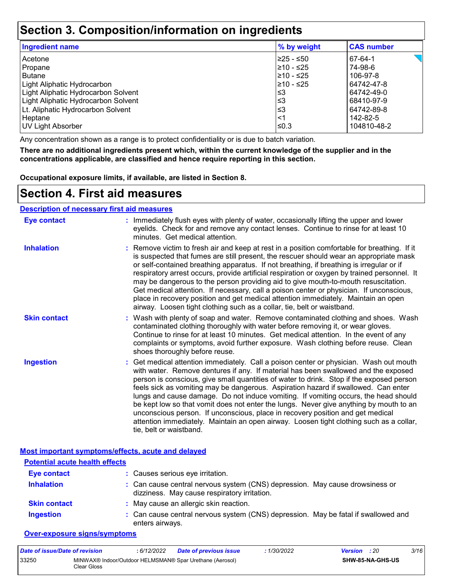## **Section 3. Composition/information on ingredients**

| Ingredient name                     | % by weight | <b>CAS number</b> |
|-------------------------------------|-------------|-------------------|
| Acetone                             | ≥25 - ≤50   | 67-64-1           |
| Propane                             | 210 - ≤25   | 74-98-6           |
| <b>Butane</b>                       | l≥10 - ≤25  | 106-97-8          |
| Light Aliphatic Hydrocarbon         | $≥10 - ≤25$ | 64742-47-8        |
| Light Aliphatic Hydrocarbon Solvent | ≤3          | 64742-49-0        |
| Light Aliphatic Hydrocarbon Solvent | ≤3          | 68410-97-9        |
| Lt. Aliphatic Hydrocarbon Solvent   | ≤3          | 64742-89-8        |
| Heptane                             | <1          | 142-82-5          |
| <b>UV Light Absorber</b>            | ≤0.3        | 104810-48-2       |

Any concentration shown as a range is to protect confidentiality or is due to batch variation.

**There are no additional ingredients present which, within the current knowledge of the supplier and in the concentrations applicable, are classified and hence require reporting in this section.**

**Occupational exposure limits, if available, are listed in Section 8.**

## **Section 4. First aid measures**

#### **Description of necessary first aid measures**

| <b>Eye contact</b>  | : Immediately flush eyes with plenty of water, occasionally lifting the upper and lower<br>eyelids. Check for and remove any contact lenses. Continue to rinse for at least 10<br>minutes. Get medical attention.                                                                                                                                                                                                                                                                                                                                                                                                                                                                                                                                       |
|---------------------|---------------------------------------------------------------------------------------------------------------------------------------------------------------------------------------------------------------------------------------------------------------------------------------------------------------------------------------------------------------------------------------------------------------------------------------------------------------------------------------------------------------------------------------------------------------------------------------------------------------------------------------------------------------------------------------------------------------------------------------------------------|
| <b>Inhalation</b>   | : Remove victim to fresh air and keep at rest in a position comfortable for breathing. If it<br>is suspected that fumes are still present, the rescuer should wear an appropriate mask<br>or self-contained breathing apparatus. If not breathing, if breathing is irregular or if<br>respiratory arrest occurs, provide artificial respiration or oxygen by trained personnel. It<br>may be dangerous to the person providing aid to give mouth-to-mouth resuscitation.<br>Get medical attention. If necessary, call a poison center or physician. If unconscious,<br>place in recovery position and get medical attention immediately. Maintain an open<br>airway. Loosen tight clothing such as a collar, tie, belt or waistband.                    |
| <b>Skin contact</b> | : Wash with plenty of soap and water. Remove contaminated clothing and shoes. Wash<br>contaminated clothing thoroughly with water before removing it, or wear gloves.<br>Continue to rinse for at least 10 minutes. Get medical attention. In the event of any<br>complaints or symptoms, avoid further exposure. Wash clothing before reuse. Clean<br>shoes thoroughly before reuse.                                                                                                                                                                                                                                                                                                                                                                   |
| <b>Ingestion</b>    | : Get medical attention immediately. Call a poison center or physician. Wash out mouth<br>with water. Remove dentures if any. If material has been swallowed and the exposed<br>person is conscious, give small quantities of water to drink. Stop if the exposed person<br>feels sick as vomiting may be dangerous. Aspiration hazard if swallowed. Can enter<br>lungs and cause damage. Do not induce vomiting. If vomiting occurs, the head should<br>be kept low so that vomit does not enter the lungs. Never give anything by mouth to an<br>unconscious person. If unconscious, place in recovery position and get medical<br>attention immediately. Maintain an open airway. Loosen tight clothing such as a collar,<br>tie, belt or waistband. |

| Most important symptoms/effects, acute and delaved |
|----------------------------------------------------|
|----------------------------------------------------|

| <b>Potential acute health effects</b> |                                                                                                                              |
|---------------------------------------|------------------------------------------------------------------------------------------------------------------------------|
| <b>Eye contact</b>                    | : Causes serious eye irritation.                                                                                             |
| <b>Inhalation</b>                     | : Can cause central nervous system (CNS) depression. May cause drowsiness or<br>dizziness. May cause respiratory irritation. |
| <b>Skin contact</b>                   | : May cause an allergic skin reaction.                                                                                       |
| <b>Ingestion</b>                      | : Can cause central nervous system (CNS) depression. May be fatal if swallowed and<br>enters airways.                        |

#### **Over-exposure signs/symptoms**

| Date of issue/Date of revision |             | 6/12/2022 | <b>Date of previous issue</b>                            | 1/30/2022 | <b>Version</b> : 20 |                  | 3/16 |
|--------------------------------|-------------|-----------|----------------------------------------------------------|-----------|---------------------|------------------|------|
| 33250                          | Clear Gloss |           | MINWAX® Indoor/Outdoor HELMSMAN® Spar Urethane (Aerosol) |           |                     | SHW-85-NA-GHS-US |      |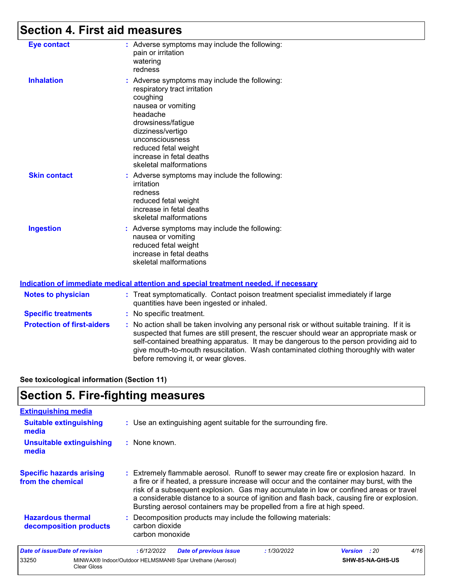# **Section 4. First aid measures**

| <b>Eye contact</b>  | : Adverse symptoms may include the following:<br>pain or irritation<br>watering<br>redness                                                                                                                                                                              |
|---------------------|-------------------------------------------------------------------------------------------------------------------------------------------------------------------------------------------------------------------------------------------------------------------------|
| <b>Inhalation</b>   | : Adverse symptoms may include the following:<br>respiratory tract irritation<br>coughing<br>nausea or vomiting<br>headache<br>drowsiness/fatigue<br>dizziness/vertigo<br>unconsciousness<br>reduced fetal weight<br>increase in fetal deaths<br>skeletal malformations |
| <b>Skin contact</b> | : Adverse symptoms may include the following:<br>irritation<br>redness<br>reduced fetal weight<br>increase in fetal deaths<br>skeletal malformations                                                                                                                    |
| <b>Ingestion</b>    | : Adverse symptoms may include the following:<br>nausea or vomiting<br>reduced fetal weight<br>increase in fetal deaths<br>skeletal malformations                                                                                                                       |

#### **Indication of immediate medical attention and special treatment needed, if necessary**

| <b>Notes to physician</b>         | : Treat symptomatically. Contact poison treatment specialist immediately if large<br>quantities have been ingested or inhaled.                                                                                                                                                                                                                                                                                  |  |
|-----------------------------------|-----------------------------------------------------------------------------------------------------------------------------------------------------------------------------------------------------------------------------------------------------------------------------------------------------------------------------------------------------------------------------------------------------------------|--|
| <b>Specific treatments</b>        | : No specific treatment.                                                                                                                                                                                                                                                                                                                                                                                        |  |
| <b>Protection of first-aiders</b> | : No action shall be taken involving any personal risk or without suitable training. If it is<br>suspected that fumes are still present, the rescuer should wear an appropriate mask or<br>self-contained breathing apparatus. It may be dangerous to the person providing aid to<br>give mouth-to-mouth resuscitation. Wash contaminated clothing thoroughly with water<br>before removing it, or wear gloves. |  |

**See toxicological information (Section 11)**

# **Section 5. Fire-fighting measures**

33250 MINWAX® Indoor/Outdoor HELMSMAN® Spar Urethane (Aerosol)

Clear Gloss

| <b>Extinguishing media</b>                           |                                                                                                                                                                                                                                                                                                                                                                                                                                                       |
|------------------------------------------------------|-------------------------------------------------------------------------------------------------------------------------------------------------------------------------------------------------------------------------------------------------------------------------------------------------------------------------------------------------------------------------------------------------------------------------------------------------------|
| <b>Suitable extinguishing</b><br>media               | : Use an extinguishing agent suitable for the surrounding fire.                                                                                                                                                                                                                                                                                                                                                                                       |
| <b>Unsuitable extinguishing</b><br>media             | : None known.                                                                                                                                                                                                                                                                                                                                                                                                                                         |
| <b>Specific hazards arising</b><br>from the chemical | : Extremely flammable aerosol. Runoff to sewer may create fire or explosion hazard. In<br>a fire or if heated, a pressure increase will occur and the container may burst, with the<br>risk of a subsequent explosion. Gas may accumulate in low or confined areas or travel<br>a considerable distance to a source of ignition and flash back, causing fire or explosion.<br>Bursting aerosol containers may be propelled from a fire at high speed. |
| <b>Hazardous thermal</b><br>decomposition products   | : Decomposition products may include the following materials:<br>carbon dioxide<br>carbon monoxide                                                                                                                                                                                                                                                                                                                                                    |
| <b>Date of issue/Date of revision</b>                | 4/16<br>:6/12/2022<br><b>Date of previous issue</b><br>: 1/30/2022<br>Version<br>: 20                                                                                                                                                                                                                                                                                                                                                                 |

**SHW-85-NA-GHS-US**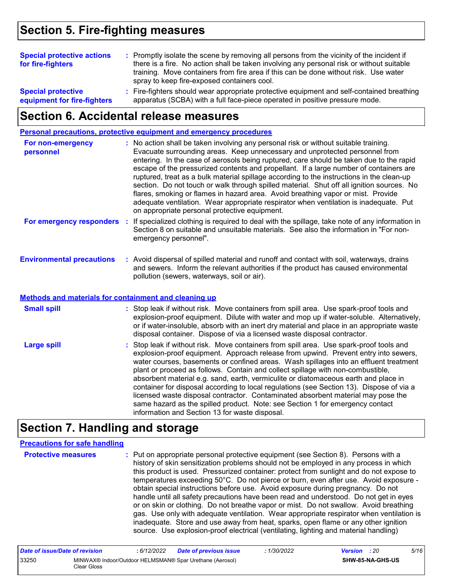# **Section 5. Fire-fighting measures**

| <b>Special protective actions</b><br>for fire-fighters   | : Promptly isolate the scene by removing all persons from the vicinity of the incident if<br>there is a fire. No action shall be taken involving any personal risk or without suitable<br>training. Move containers from fire area if this can be done without risk. Use water<br>spray to keep fire-exposed containers cool. |  |
|----------------------------------------------------------|-------------------------------------------------------------------------------------------------------------------------------------------------------------------------------------------------------------------------------------------------------------------------------------------------------------------------------|--|
| <b>Special protective</b><br>equipment for fire-fighters | : Fire-fighters should wear appropriate protective equipment and self-contained breathing<br>apparatus (SCBA) with a full face-piece operated in positive pressure mode.                                                                                                                                                      |  |

### **Section 6. Accidental release measures**

**Personal precautions, protective equipment and emergency procedures**

| For non-emergency<br>personnel   | : No action shall be taken involving any personal risk or without suitable training.<br>Evacuate surrounding areas. Keep unnecessary and unprotected personnel from<br>entering. In the case of aerosols being ruptured, care should be taken due to the rapid<br>escape of the pressurized contents and propellant. If a large number of containers are<br>ruptured, treat as a bulk material spillage according to the instructions in the clean-up<br>section. Do not touch or walk through spilled material. Shut off all ignition sources. No<br>flares, smoking or flames in hazard area. Avoid breathing vapor or mist. Provide<br>adequate ventilation. Wear appropriate respirator when ventilation is inadequate. Put<br>on appropriate personal protective equipment. |
|----------------------------------|----------------------------------------------------------------------------------------------------------------------------------------------------------------------------------------------------------------------------------------------------------------------------------------------------------------------------------------------------------------------------------------------------------------------------------------------------------------------------------------------------------------------------------------------------------------------------------------------------------------------------------------------------------------------------------------------------------------------------------------------------------------------------------|
| For emergency responders         | : If specialized clothing is required to deal with the spillage, take note of any information in<br>Section 8 on suitable and unsuitable materials. See also the information in "For non-<br>emergency personnel".                                                                                                                                                                                                                                                                                                                                                                                                                                                                                                                                                               |
| <b>Environmental precautions</b> | : Avoid dispersal of spilled material and runoff and contact with soil, waterways, drains<br>and sewers. Inform the relevant authorities if the product has caused environmental                                                                                                                                                                                                                                                                                                                                                                                                                                                                                                                                                                                                 |

pollution (sewers, waterways, soil or air).

#### **Methods and materials for containment and cleaning up**

| <b>Small spill</b> | : Stop leak if without risk. Move containers from spill area. Use spark-proof tools and<br>explosion-proof equipment. Dilute with water and mop up if water-soluble. Alternatively,<br>or if water-insoluble, absorb with an inert dry material and place in an appropriate waste<br>disposal container. Dispose of via a licensed waste disposal contractor.                                                                                                                                                                                                                                                                                                                                                                                                        |
|--------------------|----------------------------------------------------------------------------------------------------------------------------------------------------------------------------------------------------------------------------------------------------------------------------------------------------------------------------------------------------------------------------------------------------------------------------------------------------------------------------------------------------------------------------------------------------------------------------------------------------------------------------------------------------------------------------------------------------------------------------------------------------------------------|
| <b>Large spill</b> | : Stop leak if without risk. Move containers from spill area. Use spark-proof tools and<br>explosion-proof equipment. Approach release from upwind. Prevent entry into sewers,<br>water courses, basements or confined areas. Wash spillages into an effluent treatment<br>plant or proceed as follows. Contain and collect spillage with non-combustible,<br>absorbent material e.g. sand, earth, vermiculite or diatomaceous earth and place in<br>container for disposal according to local regulations (see Section 13). Dispose of via a<br>licensed waste disposal contractor. Contaminated absorbent material may pose the<br>same hazard as the spilled product. Note: see Section 1 for emergency contact<br>information and Section 13 for waste disposal. |

### **Section 7. Handling and storage**

#### **Precautions for safe handling**

**Protective measures Theory of the Exercic personal protective equipment (see Section 8). Persons with a metally** history of skin sensitization problems should not be employed in any process in which this product is used. Pressurized container: protect from sunlight and do not expose to temperatures exceeding 50°C. Do not pierce or burn, even after use. Avoid exposure obtain special instructions before use. Avoid exposure during pregnancy. Do not handle until all safety precautions have been read and understood. Do not get in eyes or on skin or clothing. Do not breathe vapor or mist. Do not swallow. Avoid breathing gas. Use only with adequate ventilation. Wear appropriate respirator when ventilation is inadequate. Store and use away from heat, sparks, open flame or any other ignition source. Use explosion-proof electrical (ventilating, lighting and material handling)

| Date of issue/Date of revision |             | 6/12/2022 | <b>Date of previous issue</b>                            | 1/30/2022 | <b>Version</b> : 20 |                  | 5/16 |
|--------------------------------|-------------|-----------|----------------------------------------------------------|-----------|---------------------|------------------|------|
| 33250                          | Clear Gloss |           | MINWAX® Indoor/Outdoor HELMSMAN® Spar Urethane (Aerosol) |           |                     | SHW-85-NA-GHS-US |      |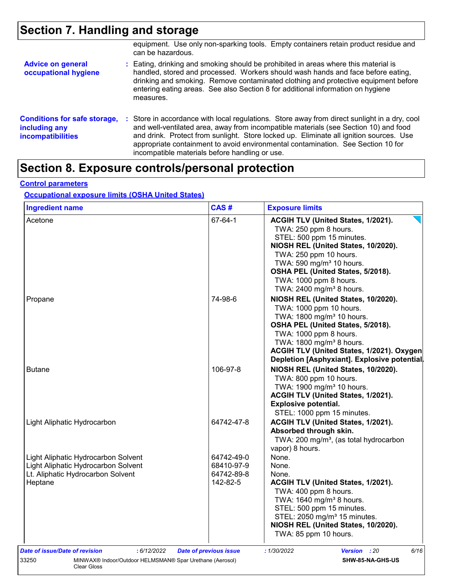# **Section 7. Handling and storage**

|                                                                                  | equipment. Use only non-sparking tools. Empty containers retain product residue and<br>can be hazardous.                                                                                                                                                                                                                                                                                                             |
|----------------------------------------------------------------------------------|----------------------------------------------------------------------------------------------------------------------------------------------------------------------------------------------------------------------------------------------------------------------------------------------------------------------------------------------------------------------------------------------------------------------|
| <b>Advice on general</b><br>occupational hygiene                                 | : Eating, drinking and smoking should be prohibited in areas where this material is<br>handled, stored and processed. Workers should wash hands and face before eating,<br>drinking and smoking. Remove contaminated clothing and protective equipment before<br>entering eating areas. See also Section 8 for additional information on hygiene<br>measures.                                                        |
| <b>Conditions for safe storage,</b><br>including any<br><i>incompatibilities</i> | : Store in accordance with local regulations. Store away from direct sunlight in a dry, cool<br>and well-ventilated area, away from incompatible materials (see Section 10) and food<br>and drink. Protect from sunlight. Store locked up. Eliminate all ignition sources. Use<br>appropriate containment to avoid environmental contamination. See Section 10 for<br>incompatible materials before handling or use. |

# **Section 8. Exposure controls/personal protection**

### **Control parameters**

#### **Occupational exposure limits (OSHA United States)**

| Acetone                                       |                               |                                                                                                                                 |
|-----------------------------------------------|-------------------------------|---------------------------------------------------------------------------------------------------------------------------------|
|                                               | 67-64-1                       | ACGIH TLV (United States, 1/2021).<br>TWA: 250 ppm 8 hours.<br>STEL: 500 ppm 15 minutes.<br>NIOSH REL (United States, 10/2020). |
|                                               |                               | TWA: 250 ppm 10 hours.<br>TWA: 590 mg/m <sup>3</sup> 10 hours.<br>OSHA PEL (United States, 5/2018).                             |
|                                               |                               | TWA: 1000 ppm 8 hours.<br>TWA: 2400 mg/m <sup>3</sup> 8 hours.                                                                  |
| Propane                                       | 74-98-6                       | NIOSH REL (United States, 10/2020).<br>TWA: 1000 ppm 10 hours.                                                                  |
|                                               |                               | TWA: 1800 mg/m <sup>3</sup> 10 hours.                                                                                           |
|                                               |                               | OSHA PEL (United States, 5/2018).                                                                                               |
|                                               |                               | TWA: 1000 ppm 8 hours.                                                                                                          |
|                                               |                               | TWA: 1800 mg/m <sup>3</sup> 8 hours.                                                                                            |
|                                               |                               | ACGIH TLV (United States, 1/2021). Oxygen                                                                                       |
|                                               |                               | Depletion [Asphyxiant]. Explosive potential.                                                                                    |
| <b>Butane</b>                                 | 106-97-8                      | NIOSH REL (United States, 10/2020).                                                                                             |
|                                               |                               | TWA: 800 ppm 10 hours.                                                                                                          |
|                                               |                               | TWA: 1900 mg/m <sup>3</sup> 10 hours.                                                                                           |
|                                               |                               | ACGIH TLV (United States, 1/2021).                                                                                              |
|                                               |                               | <b>Explosive potential.</b>                                                                                                     |
|                                               |                               | STEL: 1000 ppm 15 minutes.                                                                                                      |
| Light Aliphatic Hydrocarbon                   | 64742-47-8                    | ACGIH TLV (United States, 1/2021).                                                                                              |
|                                               |                               | Absorbed through skin.                                                                                                          |
|                                               |                               | TWA: 200 mg/m <sup>3</sup> , (as total hydrocarbon                                                                              |
|                                               |                               | vapor) 8 hours.                                                                                                                 |
| Light Aliphatic Hydrocarbon Solvent           | 64742-49-0                    | None.                                                                                                                           |
| Light Aliphatic Hydrocarbon Solvent           | 68410-97-9                    | None.                                                                                                                           |
| Lt. Aliphatic Hydrocarbon Solvent             | 64742-89-8                    | None.                                                                                                                           |
| Heptane                                       | 142-82-5                      | ACGIH TLV (United States, 1/2021).                                                                                              |
|                                               |                               | TWA: 400 ppm 8 hours.<br>TWA: 1640 mg/m <sup>3</sup> 8 hours.                                                                   |
|                                               |                               | STEL: 500 ppm 15 minutes.                                                                                                       |
|                                               |                               | STEL: 2050 mg/m <sup>3</sup> 15 minutes.                                                                                        |
|                                               |                               | NIOSH REL (United States, 10/2020).                                                                                             |
|                                               |                               | TWA: 85 ppm 10 hours.                                                                                                           |
| Date of issue/Date of revision<br>: 6/12/2022 | <b>Date of previous issue</b> | : 1/30/2022<br>6/16<br><b>Version</b> : 20                                                                                      |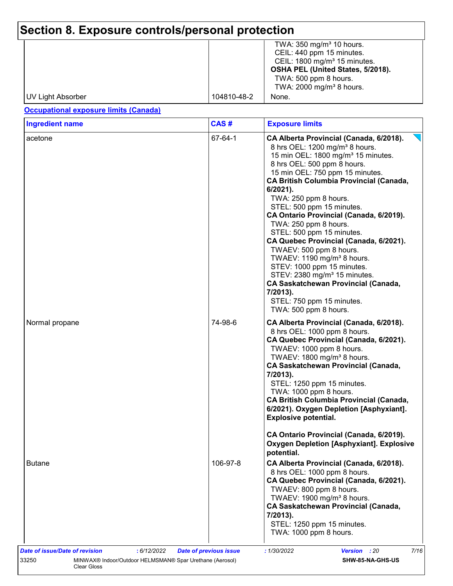# **Section 8. Exposure controls/personal protection**

|                   |             | TWA: $350 \text{ mg/m}^3$ 10 hours.     |
|-------------------|-------------|-----------------------------------------|
|                   |             | CEIL: 440 ppm 15 minutes.               |
|                   |             | CEIL: $1800 \text{ mg/m}^3$ 15 minutes. |
|                   |             | OSHA PEL (United States, 5/2018).       |
|                   |             | TWA: 500 ppm 8 hours.                   |
|                   |             | TWA: 2000 mg/m <sup>3</sup> 8 hours.    |
| UV Light Absorber | 104810-48-2 | None.                                   |

### **Occupational exposure limits (Canada)**

| CAS#     | <b>Exposure limits</b>                                                                                                                                                                                                                                                                                                                                                                                                                                                                                                                                                                                                                                                                                                                     |
|----------|--------------------------------------------------------------------------------------------------------------------------------------------------------------------------------------------------------------------------------------------------------------------------------------------------------------------------------------------------------------------------------------------------------------------------------------------------------------------------------------------------------------------------------------------------------------------------------------------------------------------------------------------------------------------------------------------------------------------------------------------|
| 67-64-1  | CA Alberta Provincial (Canada, 6/2018).<br>8 hrs OEL: 1200 mg/m <sup>3</sup> 8 hours.<br>15 min OEL: 1800 mg/m <sup>3</sup> 15 minutes.<br>8 hrs OEL: 500 ppm 8 hours.<br>15 min OEL: 750 ppm 15 minutes.<br><b>CA British Columbia Provincial (Canada,</b><br>$6/2021$ ).<br>TWA: 250 ppm 8 hours.<br>STEL: 500 ppm 15 minutes.<br>CA Ontario Provincial (Canada, 6/2019).<br>TWA: 250 ppm 8 hours.<br>STEL: 500 ppm 15 minutes.<br>CA Quebec Provincial (Canada, 6/2021).<br>TWAEV: 500 ppm 8 hours.<br>TWAEV: 1190 mg/m <sup>3</sup> 8 hours.<br>STEV: 1000 ppm 15 minutes.<br>STEV: 2380 mg/m <sup>3</sup> 15 minutes.<br><b>CA Saskatchewan Provincial (Canada,</b><br>7/2013).<br>STEL: 750 ppm 15 minutes.<br>TWA: 500 ppm 8 hours. |
| 74-98-6  | CA Alberta Provincial (Canada, 6/2018).<br>8 hrs OEL: 1000 ppm 8 hours.<br>CA Quebec Provincial (Canada, 6/2021).<br>TWAEV: 1000 ppm 8 hours.<br>TWAEV: 1800 mg/m <sup>3</sup> 8 hours.<br><b>CA Saskatchewan Provincial (Canada,</b><br>7/2013).<br>STEL: 1250 ppm 15 minutes.<br>TWA: 1000 ppm 8 hours.<br><b>CA British Columbia Provincial (Canada,</b><br>6/2021). Oxygen Depletion [Asphyxiant].<br><b>Explosive potential.</b><br>CA Ontario Provincial (Canada, 6/2019).                                                                                                                                                                                                                                                           |
|          | <b>Oxygen Depletion [Asphyxiant]. Explosive</b><br>potential.                                                                                                                                                                                                                                                                                                                                                                                                                                                                                                                                                                                                                                                                              |
| 106-97-8 | CA Alberta Provincial (Canada, 6/2018).<br>8 hrs OEL: 1000 ppm 8 hours.<br>CA Quebec Provincial (Canada, 6/2021).<br>TWAEV: 800 ppm 8 hours.<br>TWAEV: 1900 mg/m <sup>3</sup> 8 hours.<br>CA Saskatchewan Provincial (Canada,<br>7/2013).<br>STEL: 1250 ppm 15 minutes.                                                                                                                                                                                                                                                                                                                                                                                                                                                                    |
|          |                                                                                                                                                                                                                                                                                                                                                                                                                                                                                                                                                                                                                                                                                                                                            |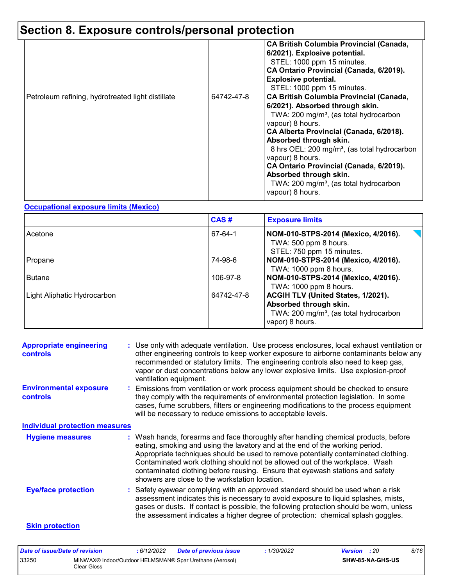# **Section 8. Exposure controls/personal protection**

| Petroleum refining, hydrotreated light distillate | 64742-47-8 | <b>CA British Columbia Provincial (Canada,</b><br>6/2021). Explosive potential.<br>STEL: 1000 ppm 15 minutes.<br>CA Ontario Provincial (Canada, 6/2019).<br><b>Explosive potential.</b><br>STEL: 1000 ppm 15 minutes.<br><b>CA British Columbia Provincial (Canada,</b><br>6/2021). Absorbed through skin.<br>TWA: 200 mg/m <sup>3</sup> , (as total hydrocarbon<br>vapour) 8 hours.<br>CA Alberta Provincial (Canada, 6/2018).<br>Absorbed through skin.<br>8 hrs OEL: 200 mg/m <sup>3</sup> , (as total hydrocarbon<br>vapour) 8 hours.<br>CA Ontario Provincial (Canada, 6/2019).<br>Absorbed through skin.<br>TWA: 200 mg/m <sup>3</sup> , (as total hydrocarbon<br>vapour) 8 hours. |
|---------------------------------------------------|------------|------------------------------------------------------------------------------------------------------------------------------------------------------------------------------------------------------------------------------------------------------------------------------------------------------------------------------------------------------------------------------------------------------------------------------------------------------------------------------------------------------------------------------------------------------------------------------------------------------------------------------------------------------------------------------------------|
|---------------------------------------------------|------------|------------------------------------------------------------------------------------------------------------------------------------------------------------------------------------------------------------------------------------------------------------------------------------------------------------------------------------------------------------------------------------------------------------------------------------------------------------------------------------------------------------------------------------------------------------------------------------------------------------------------------------------------------------------------------------------|

### **Occupational exposure limits (Mexico)**

|                             | CAS#       | <b>Exposure limits</b>                                                                                                                |
|-----------------------------|------------|---------------------------------------------------------------------------------------------------------------------------------------|
| Acetone                     | 67-64-1    | NOM-010-STPS-2014 (Mexico, 4/2016).<br>TWA: 500 ppm 8 hours.<br>STEL: 750 ppm 15 minutes.                                             |
| Propane                     | 74-98-6    | NOM-010-STPS-2014 (Mexico, 4/2016).<br>TWA: 1000 ppm 8 hours.                                                                         |
| <b>Butane</b>               | 106-97-8   | NOM-010-STPS-2014 (Mexico, 4/2016).<br>TWA: 1000 ppm 8 hours.                                                                         |
| Light Aliphatic Hydrocarbon | 64742-47-8 | ACGIH TLV (United States, 1/2021).<br>Absorbed through skin.<br>TWA: 200 mg/m <sup>3</sup> , (as total hydrocarbon<br>vapor) 8 hours. |

| <b>Appropriate engineering</b><br><b>controls</b> | : Use only with adequate ventilation. Use process enclosures, local exhaust ventilation or<br>other engineering controls to keep worker exposure to airborne contaminants below any<br>recommended or statutory limits. The engineering controls also need to keep gas,<br>vapor or dust concentrations below any lower explosive limits. Use explosion-proof<br>ventilation equipment.                                                                                     |
|---------------------------------------------------|-----------------------------------------------------------------------------------------------------------------------------------------------------------------------------------------------------------------------------------------------------------------------------------------------------------------------------------------------------------------------------------------------------------------------------------------------------------------------------|
| <b>Environmental exposure</b><br><b>controls</b>  | : Emissions from ventilation or work process equipment should be checked to ensure<br>they comply with the requirements of environmental protection legislation. In some<br>cases, fume scrubbers, filters or engineering modifications to the process equipment<br>will be necessary to reduce emissions to acceptable levels.                                                                                                                                             |
| <b>Individual protection measures</b>             |                                                                                                                                                                                                                                                                                                                                                                                                                                                                             |
| <b>Hygiene measures</b>                           | : Wash hands, forearms and face thoroughly after handling chemical products, before<br>eating, smoking and using the lavatory and at the end of the working period.<br>Appropriate techniques should be used to remove potentially contaminated clothing.<br>Contaminated work clothing should not be allowed out of the workplace. Wash<br>contaminated clothing before reusing. Ensure that eyewash stations and safety<br>showers are close to the workstation location. |
| <b>Eye/face protection</b>                        | : Safety eyewear complying with an approved standard should be used when a risk<br>assessment indicates this is necessary to avoid exposure to liquid splashes, mists,<br>gases or dusts. If contact is possible, the following protection should be worn, unless<br>the assessment indicates a higher degree of protection: chemical splash goggles.                                                                                                                       |
| <b>Skin protection</b>                            |                                                                                                                                                                                                                                                                                                                                                                                                                                                                             |

| Date of issue/Date of revision |             | 6/12/2022 | <b>Date of previous issue</b>                            | : 1/30/2022 | <b>Version</b> : 20 |                         | 8/16 |
|--------------------------------|-------------|-----------|----------------------------------------------------------|-------------|---------------------|-------------------------|------|
| 33250                          | Clear Gloss |           | MINWAX® Indoor/Outdoor HELMSMAN® Spar Urethane (Aerosol) |             |                     | <b>SHW-85-NA-GHS-US</b> |      |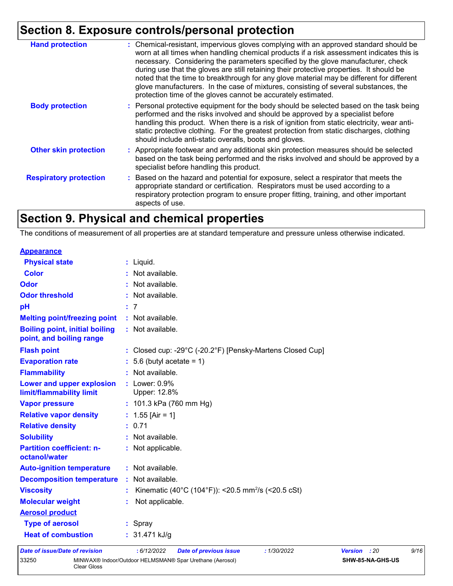# **Section 8. Exposure controls/personal protection**

| <b>Hand protection</b>        | : Chemical-resistant, impervious gloves complying with an approved standard should be<br>worn at all times when handling chemical products if a risk assessment indicates this is<br>necessary. Considering the parameters specified by the glove manufacturer, check<br>during use that the gloves are still retaining their protective properties. It should be<br>noted that the time to breakthrough for any glove material may be different for different<br>glove manufacturers. In the case of mixtures, consisting of several substances, the<br>protection time of the gloves cannot be accurately estimated. |
|-------------------------------|------------------------------------------------------------------------------------------------------------------------------------------------------------------------------------------------------------------------------------------------------------------------------------------------------------------------------------------------------------------------------------------------------------------------------------------------------------------------------------------------------------------------------------------------------------------------------------------------------------------------|
| <b>Body protection</b>        | : Personal protective equipment for the body should be selected based on the task being<br>performed and the risks involved and should be approved by a specialist before<br>handling this product. When there is a risk of ignition from static electricity, wear anti-<br>static protective clothing. For the greatest protection from static discharges, clothing<br>should include anti-static overalls, boots and gloves.                                                                                                                                                                                         |
| <b>Other skin protection</b>  | : Appropriate footwear and any additional skin protection measures should be selected<br>based on the task being performed and the risks involved and should be approved by a<br>specialist before handling this product.                                                                                                                                                                                                                                                                                                                                                                                              |
| <b>Respiratory protection</b> | : Based on the hazard and potential for exposure, select a respirator that meets the<br>appropriate standard or certification. Respirators must be used according to a<br>respiratory protection program to ensure proper fitting, training, and other important<br>aspects of use.                                                                                                                                                                                                                                                                                                                                    |

# **Section 9. Physical and chemical properties**

The conditions of measurement of all properties are at standard temperature and pressure unless otherwise indicated.

| <b>Appearance</b>                                                 |                                                                                       |
|-------------------------------------------------------------------|---------------------------------------------------------------------------------------|
| <b>Physical state</b>                                             | : Liquid.                                                                             |
| <b>Color</b>                                                      | : Not available.                                                                      |
| Odor                                                              | : Not available.                                                                      |
| <b>Odor threshold</b>                                             | : Not available.                                                                      |
| pH                                                                | : 7                                                                                   |
| <b>Melting point/freezing point</b>                               | : Not available.                                                                      |
| <b>Boiling point, initial boiling</b><br>point, and boiling range | : Not available.                                                                      |
| <b>Flash point</b>                                                | : Closed cup: -29 $^{\circ}$ C (-20.2 $^{\circ}$ F) [Pensky-Martens Closed Cup]       |
| <b>Evaporation rate</b>                                           | $: 5.6$ (butyl acetate = 1)                                                           |
| <b>Flammability</b>                                               | : Not available.                                                                      |
| Lower and upper explosion<br>limit/flammability limit             | $:$ Lower: $0.9\%$<br>Upper: 12.8%                                                    |
| <b>Vapor pressure</b>                                             | : $101.3$ kPa (760 mm Hg)                                                             |
| <b>Relative vapor density</b>                                     | : $1.55$ [Air = 1]                                                                    |
| <b>Relative density</b>                                           | : 0.71                                                                                |
| <b>Solubility</b>                                                 | : Not available.                                                                      |
| <b>Partition coefficient: n-</b><br>octanol/water                 | : Not applicable.                                                                     |
| <b>Auto-ignition temperature</b>                                  | : Not available.                                                                      |
| <b>Decomposition temperature</b>                                  | : Not available.                                                                      |
| <b>Viscosity</b>                                                  | Kinematic (40°C (104°F)): <20.5 mm <sup>2</sup> /s (<20.5 cSt)                        |
| <b>Molecular weight</b>                                           | Not applicable.                                                                       |
| <b>Aerosol product</b>                                            |                                                                                       |
| <b>Type of aerosol</b>                                            | : Spray                                                                               |
| <b>Heat of combustion</b>                                         | : $31.471$ kJ/g                                                                       |
| <b>Date of issue/Date of revision</b>                             | : 6/12/2022<br><b>Date of previous issue</b><br>: 1/30/2022<br><b>Version</b><br>: 20 |

| Date of issue/Date of revision |             | : 6/12/2022 | Date of previous issue                                   | 1/30/2022 | <b>Version</b> : 20 |                  | 9/16 |
|--------------------------------|-------------|-------------|----------------------------------------------------------|-----------|---------------------|------------------|------|
| 33250                          | Clear Gloss |             | MINWAX® Indoor/Outdoor HELMSMAN® Spar Urethane (Aerosol) |           |                     | SHW-85-NA-GHS-US |      |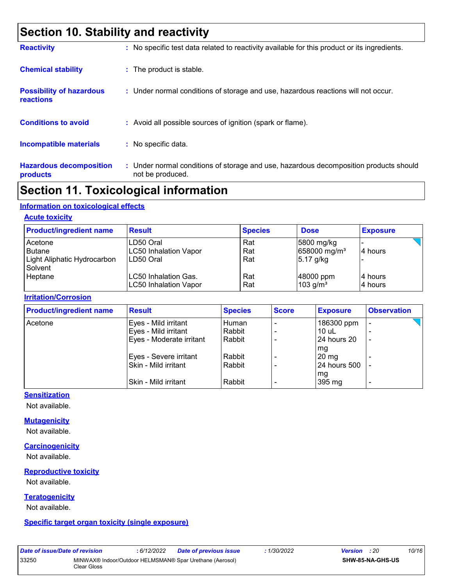# **Section 10. Stability and reactivity**

| <b>Reactivity</b>                            | : No specific test data related to reactivity available for this product or its ingredients.              |
|----------------------------------------------|-----------------------------------------------------------------------------------------------------------|
| <b>Chemical stability</b>                    | : The product is stable.                                                                                  |
| <b>Possibility of hazardous</b><br>reactions | : Under normal conditions of storage and use, hazardous reactions will not occur.                         |
| <b>Conditions to avoid</b>                   | : Avoid all possible sources of ignition (spark or flame).                                                |
| <b>Incompatible materials</b>                | : No specific data.                                                                                       |
| <b>Hazardous decomposition</b><br>products   | : Under normal conditions of storage and use, hazardous decomposition products should<br>not be produced. |

## **Section 11. Toxicological information**

#### **Information on toxicological effects**

#### **Acute toxicity**

| <b>Product/ingredient name</b>                                | <b>Result</b>                                          | <b>Species</b>    | <b>Dose</b>                                           | <b>Exposure</b>     |
|---------------------------------------------------------------|--------------------------------------------------------|-------------------|-------------------------------------------------------|---------------------|
| Acetone<br>l Butane<br>Light Aliphatic Hydrocarbon<br>Solvent | LD50 Oral<br><b>LC50 Inhalation Vapor</b><br>LD50 Oral | Rat<br>Rat<br>Rat | 5800 mg/kg<br>658000 mg/m <sup>3</sup><br>$5.17$ g/kg | 14 hours            |
| Heptane                                                       | LC50 Inhalation Gas.<br><b>LC50 Inhalation Vapor</b>   | Rat<br>Rat        | 48000 ppm<br>$103$ g/m <sup>3</sup>                   | 14 hours<br>4 hours |

#### **Irritation/Corrosion**

| <b>Product/ingredient name</b> | <b>Result</b>            | <b>Species</b> | <b>Score</b> | <b>Exposure</b> | <b>Observation</b>       |
|--------------------------------|--------------------------|----------------|--------------|-----------------|--------------------------|
| Acetone                        | Eyes - Mild irritant     | Human          |              | 186300 ppm      | -                        |
|                                | Eyes - Mild irritant     | Rabbit         |              | $10$ uL         |                          |
|                                | Eyes - Moderate irritant | Rabbit         |              | 24 hours 20     | $\overline{\phantom{a}}$ |
|                                |                          |                |              | mg              |                          |
|                                | Eyes - Severe irritant   | Rabbit         |              | $20 \text{ mg}$ |                          |
|                                | Skin - Mild irritant     | Rabbit         |              | 24 hours 500    |                          |
|                                |                          |                |              | mg              |                          |
|                                | Skin - Mild irritant     | Rabbit         |              | 395 mg          | ٠                        |

#### **Sensitization**

Not available.

#### **Mutagenicity**

Not available.

#### **Carcinogenicity**

Not available.

#### **Reproductive toxicity**

Not available.

#### **Teratogenicity**

Not available.

#### **Specific target organ toxicity (single exposure)**

|       | Date of issue/Date of revision |               |  |
|-------|--------------------------------|---------------|--|
| 33250 |                                | MINWAX® Ir    |  |
|       |                                | $C2 = C2 = C$ |  |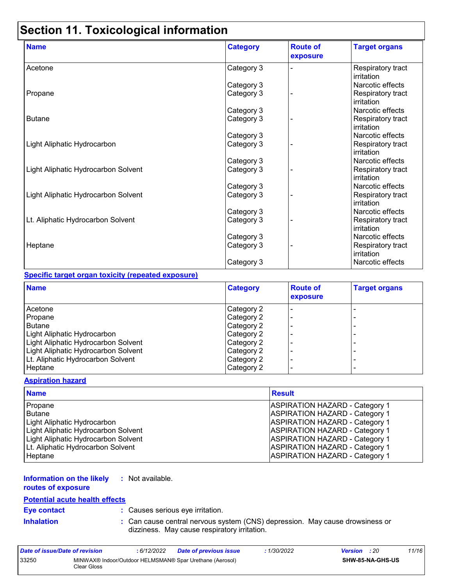# **Section 11. Toxicological information**

| <b>Name</b>                         | <b>Category</b> | <b>Route of</b><br>exposure | <b>Target organs</b>            |
|-------------------------------------|-----------------|-----------------------------|---------------------------------|
| Acetone                             | Category 3      |                             | Respiratory tract<br>irritation |
|                                     | Category 3      |                             | Narcotic effects                |
| Propane                             | Category 3      |                             | Respiratory tract<br>irritation |
|                                     | Category 3      |                             | Narcotic effects                |
| <b>Butane</b>                       | Category 3      |                             | Respiratory tract<br>irritation |
|                                     | Category 3      |                             | Narcotic effects                |
| Light Aliphatic Hydrocarbon         | Category 3      |                             | Respiratory tract<br>irritation |
|                                     | Category 3      |                             | Narcotic effects                |
| Light Aliphatic Hydrocarbon Solvent | Category 3      |                             | Respiratory tract<br>irritation |
|                                     | Category 3      |                             | Narcotic effects                |
| Light Aliphatic Hydrocarbon Solvent | Category 3      |                             | Respiratory tract<br>irritation |
|                                     | Category 3      |                             | Narcotic effects                |
| Lt. Aliphatic Hydrocarbon Solvent   | Category 3      |                             | Respiratory tract<br>irritation |
|                                     | Category 3      |                             | Narcotic effects                |
| Heptane                             | Category 3      |                             | Respiratory tract<br>irritation |
|                                     | Category 3      |                             | Narcotic effects                |

#### **Specific target organ toxicity (repeated exposure)**

| <b>Name</b>                         | <b>Category</b> | <b>Route of</b><br>exposure | <b>Target organs</b> |
|-------------------------------------|-----------------|-----------------------------|----------------------|
| Acetone                             | Category 2      |                             |                      |
| Propane                             | Category 2      |                             |                      |
| <b>Butane</b>                       | Category 2      |                             |                      |
| Light Aliphatic Hydrocarbon         | Category 2      |                             | -                    |
| Light Aliphatic Hydrocarbon Solvent | Category 2      |                             |                      |
| Light Aliphatic Hydrocarbon Solvent | Category 2      |                             | -                    |
| Lt. Aliphatic Hydrocarbon Solvent   | Category 2      |                             | -                    |
| Heptane                             | Category 2      |                             | ۰                    |

#### **Aspiration hazard**

| <b>Name</b>                         | <b>Result</b>                         |
|-------------------------------------|---------------------------------------|
| Propane                             | <b>ASPIRATION HAZARD - Category 1</b> |
| <b>Butane</b>                       | <b>ASPIRATION HAZARD - Category 1</b> |
| <b>Light Aliphatic Hydrocarbon</b>  | <b>ASPIRATION HAZARD - Category 1</b> |
| Light Aliphatic Hydrocarbon Solvent | <b>ASPIRATION HAZARD - Category 1</b> |
| Light Aliphatic Hydrocarbon Solvent | <b>ASPIRATION HAZARD - Category 1</b> |
| Lt. Aliphatic Hydrocarbon Solvent   | <b>ASPIRATION HAZARD - Category 1</b> |
| Heptane                             | <b>ASPIRATION HAZARD - Category 1</b> |

#### **Information on the likely :** Not available.

**routes of exposure**

#### **Potential acute health effects**

**Eye contact :** Causes serious eye irritation.

**Inhalation :** Can cause central nervous system (CNS) depression. May cause drowsiness or dizziness. May cause respiratory irritation.

| Date of issue/Date of revision |             | 6/12/2022 | <b>Date of previous issue</b>                            | : 1/30/2022 | <b>Version</b> : 20 |                         | 11/16 |
|--------------------------------|-------------|-----------|----------------------------------------------------------|-------------|---------------------|-------------------------|-------|
| 33250                          | Clear Gloss |           | MINWAX® Indoor/Outdoor HELMSMAN® Spar Urethane (Aerosol) |             |                     | <b>SHW-85-NA-GHS-US</b> |       |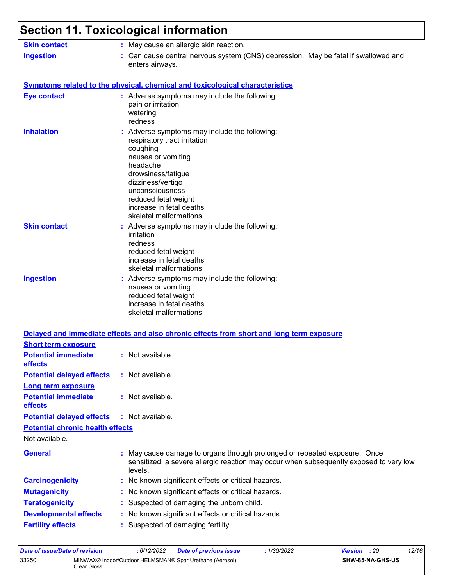| <b>Skin contact</b>                                                 | : May cause an allergic skin reaction.                                                                                                                                                                                                                                  |
|---------------------------------------------------------------------|-------------------------------------------------------------------------------------------------------------------------------------------------------------------------------------------------------------------------------------------------------------------------|
| <b>Ingestion</b>                                                    | : Can cause central nervous system (CNS) depression. May be fatal if swallowed and<br>enters airways.                                                                                                                                                                   |
|                                                                     | <b>Symptoms related to the physical, chemical and toxicological characteristics</b>                                                                                                                                                                                     |
| <b>Eye contact</b>                                                  | : Adverse symptoms may include the following:<br>pain or irritation<br>watering<br>redness                                                                                                                                                                              |
| <b>Inhalation</b>                                                   | : Adverse symptoms may include the following:<br>respiratory tract irritation<br>coughing<br>nausea or vomiting<br>headache<br>drowsiness/fatigue<br>dizziness/vertigo<br>unconsciousness<br>reduced fetal weight<br>increase in fetal deaths<br>skeletal malformations |
| <b>Skin contact</b>                                                 | : Adverse symptoms may include the following:<br>irritation<br>redness<br>reduced fetal weight<br>increase in fetal deaths<br>skeletal malformations                                                                                                                    |
| <b>Ingestion</b>                                                    | : Adverse symptoms may include the following:<br>nausea or vomiting<br>reduced fetal weight<br>increase in fetal deaths<br>skeletal malformations                                                                                                                       |
|                                                                     | Delayed and immediate effects and also chronic effects from short and long term exposure                                                                                                                                                                                |
| <b>Short term exposure</b><br><b>Potential immediate</b><br>effects | : Not available                                                                                                                                                                                                                                                         |
| <b>Potential delayed effects</b>                                    | : Not available.                                                                                                                                                                                                                                                        |
| Long term exposure<br><b>Potential immediate</b><br>effects         | : Not available.                                                                                                                                                                                                                                                        |
| <b>Potential delayed effects</b>                                    | : Not available.                                                                                                                                                                                                                                                        |
| <b>Potential chronic health effects</b>                             |                                                                                                                                                                                                                                                                         |
| Not available.                                                      |                                                                                                                                                                                                                                                                         |
| <b>General</b>                                                      | : May cause damage to organs through prolonged or repeated exposure. Once<br>sensitized, a severe allergic reaction may occur when subsequently exposed to very low<br>levels.                                                                                          |
| <b>Carcinogenicity</b>                                              | : No known significant effects or critical hazards.                                                                                                                                                                                                                     |
| <b>Mutagenicity</b>                                                 | : No known significant effects or critical hazards.                                                                                                                                                                                                                     |
| <b>Teratogenicity</b>                                               | : Suspected of damaging the unborn child.                                                                                                                                                                                                                               |
|                                                                     | : No known significant effects or critical hazards.                                                                                                                                                                                                                     |
| <b>Developmental effects</b>                                        |                                                                                                                                                                                                                                                                         |

| Date of issue/Date of revision                                                   |  | : 6/12/2022 | <b>Date of previous issue</b> | : 1/30/2022 | <b>Version</b> : 20     |  | 12/16 |
|----------------------------------------------------------------------------------|--|-------------|-------------------------------|-------------|-------------------------|--|-------|
| 33250<br>MINWAX® Indoor/Outdoor HELMSMAN® Spar Urethane (Aerosol)<br>Clear Gloss |  |             |                               |             | <b>SHW-85-NA-GHS-US</b> |  |       |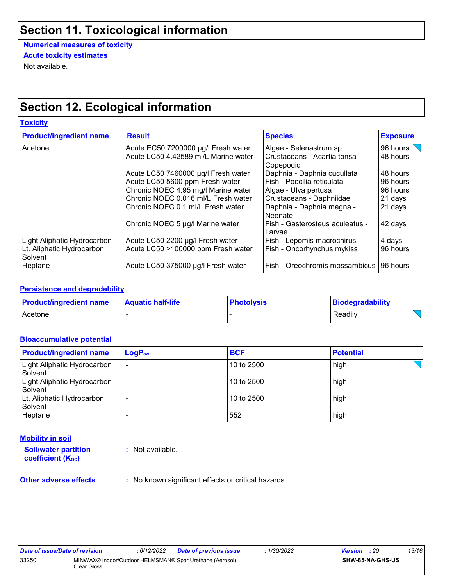# **Section 11. Toxicological information**

**Numerical measures of toxicity Acute toxicity estimates**

Not available.

# **Section 12. Ecological information**

| <b>Toxicity</b>                      |                                      |                                            |                 |
|--------------------------------------|--------------------------------------|--------------------------------------------|-----------------|
| <b>Product/ingredient name</b>       | <b>Result</b>                        | <b>Species</b>                             | <b>Exposure</b> |
| Acetone                              | Acute EC50 7200000 µg/l Fresh water  | Algae - Selenastrum sp.                    | 96 hours        |
|                                      | Acute LC50 4.42589 ml/L Marine water | Crustaceans - Acartia tonsa -<br>Copepodid | 48 hours        |
|                                      | Acute LC50 7460000 µg/l Fresh water  | Daphnia - Daphnia cucullata                | 48 hours        |
|                                      | Acute LC50 5600 ppm Fresh water      | Fish - Poecilia reticulata                 | 96 hours        |
|                                      | Chronic NOEC 4.95 mg/l Marine water  | Algae - Ulva pertusa                       | 96 hours        |
|                                      | Chronic NOEC 0.016 ml/L Fresh water  | Crustaceans - Daphniidae                   | 21 days         |
|                                      | lChronic NOEC 0.1 ml/L Fresh water   | Daphnia - Daphnia magna -<br>Neonate       | 21 days         |
|                                      | Chronic NOEC 5 µg/l Marine water     | Fish - Gasterosteus aculeatus -<br>Larvae  | 42 days         |
| Light Aliphatic Hydrocarbon          | Acute LC50 2200 µg/l Fresh water     | Fish - Lepomis macrochirus                 | 4 days          |
| Lt. Aliphatic Hydrocarbon<br>Solvent | Acute LC50 >100000 ppm Fresh water   | Fish - Oncorhynchus mykiss                 | 96 hours        |
| Heptane                              | Acute LC50 375000 µg/l Fresh water   | Fish - Oreochromis mossambicus             | 196 hours       |

#### **Persistence and degradability**

| <b>Product/ingredient name</b> | <b>Aquatic half-life</b> | <b>Photolysis</b> | Biodegradability |
|--------------------------------|--------------------------|-------------------|------------------|
| Acetone                        |                          |                   | Readily          |

#### **Bioaccumulative potential**

| <b>Product/ingredient name</b>         | $LogP_{ow}$    | <b>BCF</b> | <b>Potential</b> |
|----------------------------------------|----------------|------------|------------------|
| Light Aliphatic Hydrocarbon<br>Solvent | $\blacksquare$ | 10 to 2500 | high             |
| Light Aliphatic Hydrocarbon<br>Solvent | ۰              | 10 to 2500 | high             |
| Lt. Aliphatic Hydrocarbon<br>Solvent   |                | 10 to 2500 | high             |
| Heptane                                |                | 552        | high             |

#### **Mobility in soil**

**Soil/water partition coefficient (Koc)** 

**:** Not available.

**Other adverse effects** : No known significant effects or critical hazards.

| Date of issue/Date of revision |                                                                         | : 6/12/2022 | Date of previous issue | 1/30/2022 | <b>Version</b> : 20 |                         | 13/16 |
|--------------------------------|-------------------------------------------------------------------------|-------------|------------------------|-----------|---------------------|-------------------------|-------|
| 33250                          | MINWAX® Indoor/Outdoor HELMSMAN® Spar Urethane (Aerosol)<br>Clear Gloss |             |                        |           |                     | <b>SHW-85-NA-GHS-US</b> |       |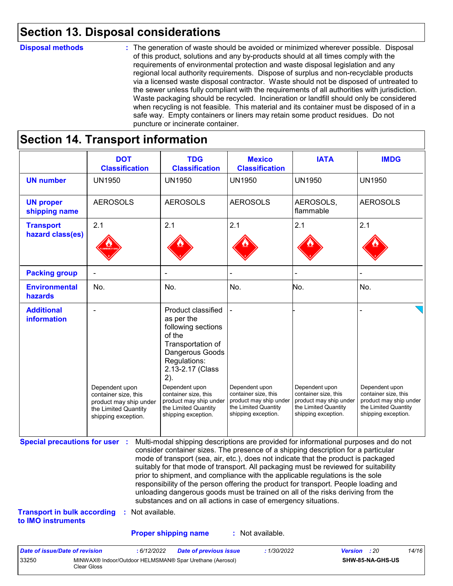# **Section 13. Disposal considerations**

#### **Disposal methods :**

The generation of waste should be avoided or minimized wherever possible. Disposal of this product, solutions and any by-products should at all times comply with the requirements of environmental protection and waste disposal legislation and any regional local authority requirements. Dispose of surplus and non-recyclable products via a licensed waste disposal contractor. Waste should not be disposed of untreated to the sewer unless fully compliant with the requirements of all authorities with jurisdiction. Waste packaging should be recycled. Incineration or landfill should only be considered when recycling is not feasible. This material and its container must be disposed of in a safe way. Empty containers or liners may retain some product residues. Do not puncture or incinerate container.

### **Section 14. Transport information**

33250 MINWAX® Indoor/Outdoor HELMSMAN® Spar Urethane (Aerosol)

Clear Gloss

|                                                                             | <b>DOT</b><br><b>Classification</b>                                                                             | <b>TDG</b><br><b>Classification</b>                                                                                                                                                                                                                                                                                                                                                                                                                                                                                                                                                                                                                                                 | <b>Mexico</b><br><b>Classification</b>                                                                          | <b>IATA</b>                                                                                                     | <b>IMDG</b>                                                                                                     |
|-----------------------------------------------------------------------------|-----------------------------------------------------------------------------------------------------------------|-------------------------------------------------------------------------------------------------------------------------------------------------------------------------------------------------------------------------------------------------------------------------------------------------------------------------------------------------------------------------------------------------------------------------------------------------------------------------------------------------------------------------------------------------------------------------------------------------------------------------------------------------------------------------------------|-----------------------------------------------------------------------------------------------------------------|-----------------------------------------------------------------------------------------------------------------|-----------------------------------------------------------------------------------------------------------------|
| <b>UN number</b>                                                            | <b>UN1950</b>                                                                                                   | <b>UN1950</b>                                                                                                                                                                                                                                                                                                                                                                                                                                                                                                                                                                                                                                                                       | <b>UN1950</b>                                                                                                   | <b>UN1950</b>                                                                                                   | <b>UN1950</b>                                                                                                   |
| <b>UN proper</b><br>shipping name                                           | <b>AEROSOLS</b>                                                                                                 | <b>AEROSOLS</b>                                                                                                                                                                                                                                                                                                                                                                                                                                                                                                                                                                                                                                                                     | <b>AEROSOLS</b>                                                                                                 | AEROSOLS,<br>flammable                                                                                          | <b>AEROSOLS</b>                                                                                                 |
| <b>Transport</b><br>hazard class(es)                                        | 2.1                                                                                                             | 2.1                                                                                                                                                                                                                                                                                                                                                                                                                                                                                                                                                                                                                                                                                 | 2.1                                                                                                             | 2.1                                                                                                             | 2.1                                                                                                             |
| <b>Packing group</b>                                                        |                                                                                                                 |                                                                                                                                                                                                                                                                                                                                                                                                                                                                                                                                                                                                                                                                                     |                                                                                                                 |                                                                                                                 |                                                                                                                 |
| <b>Environmental</b><br>hazards                                             | No.                                                                                                             | No.                                                                                                                                                                                                                                                                                                                                                                                                                                                                                                                                                                                                                                                                                 | No.                                                                                                             | No.                                                                                                             | No.                                                                                                             |
| <b>Additional</b><br>information                                            | Dependent upon<br>container size, this<br>product may ship under<br>the Limited Quantity<br>shipping exception. | Product classified<br>as per the<br>following sections<br>of the<br>Transportation of<br>Dangerous Goods<br>Regulations:<br>2.13-2.17 (Class<br>2).<br>Dependent upon<br>container size, this<br>product may ship under<br>the Limited Quantity<br>shipping exception.                                                                                                                                                                                                                                                                                                                                                                                                              | Dependent upon<br>container size, this<br>product may ship under<br>the Limited Quantity<br>shipping exception. | Dependent upon<br>container size, this<br>product may ship under<br>the Limited Quantity<br>shipping exception. | Dependent upon<br>container size, this<br>product may ship under<br>the Limited Quantity<br>shipping exception. |
| <b>Special precautions for user :</b><br><b>Transport in bulk according</b> | : Not available.                                                                                                | Multi-modal shipping descriptions are provided for informational purposes and do not<br>consider container sizes. The presence of a shipping description for a particular<br>mode of transport (sea, air, etc.), does not indicate that the product is packaged<br>suitably for that mode of transport. All packaging must be reviewed for suitability<br>prior to shipment, and compliance with the applicable regulations is the sole<br>responsibility of the person offering the product for transport. People loading and<br>unloading dangerous goods must be trained on all of the risks deriving from the<br>substances and on all actions in case of emergency situations. |                                                                                                                 |                                                                                                                 |                                                                                                                 |
| to IMO instruments                                                          |                                                                                                                 |                                                                                                                                                                                                                                                                                                                                                                                                                                                                                                                                                                                                                                                                                     |                                                                                                                 |                                                                                                                 |                                                                                                                 |
|                                                                             |                                                                                                                 | <b>Proper shipping name</b>                                                                                                                                                                                                                                                                                                                                                                                                                                                                                                                                                                                                                                                         | : Not available.                                                                                                |                                                                                                                 |                                                                                                                 |

**SHW-85-NA-GHS-US**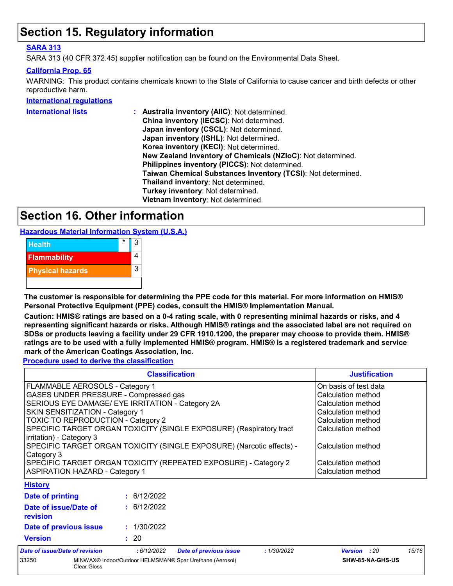# **Section 15. Regulatory information**

#### **SARA 313**

SARA 313 (40 CFR 372.45) supplier notification can be found on the Environmental Data Sheet.

#### **California Prop. 65**

WARNING: This product contains chemicals known to the State of California to cause cancer and birth defects or other reproductive harm.

#### **International regulations**

| <b>International lists</b> | Australia inventory (AllC): Not determined.                  |
|----------------------------|--------------------------------------------------------------|
|                            | China inventory (IECSC): Not determined.                     |
|                            | Japan inventory (CSCL): Not determined.                      |
|                            | Japan inventory (ISHL): Not determined.                      |
|                            | Korea inventory (KECI): Not determined.                      |
|                            | New Zealand Inventory of Chemicals (NZIoC): Not determined.  |
|                            | Philippines inventory (PICCS): Not determined.               |
|                            | Taiwan Chemical Substances Inventory (TCSI): Not determined. |
|                            | Thailand inventory: Not determined.                          |
|                            | Turkey inventory: Not determined.                            |
|                            | Vietnam inventory: Not determined.                           |
|                            |                                                              |

# **Section 16. Other information**

**Hazardous Material Information System (U.S.A.)**



**The customer is responsible for determining the PPE code for this material. For more information on HMIS® Personal Protective Equipment (PPE) codes, consult the HMIS® Implementation Manual.**

**Caution: HMIS® ratings are based on a 0-4 rating scale, with 0 representing minimal hazards or risks, and 4 representing significant hazards or risks. Although HMIS® ratings and the associated label are not required on SDSs or products leaving a facility under 29 CFR 1910.1200, the preparer may choose to provide them. HMIS® ratings are to be used with a fully implemented HMIS® program. HMIS® is a registered trademark and service mark of the American Coatings Association, Inc.**

**Procedure used to derive the classification**

|                                                                                     | <b>Justification</b>                                                                                                                                                                                                                                         |                    |  |  |
|-------------------------------------------------------------------------------------|--------------------------------------------------------------------------------------------------------------------------------------------------------------------------------------------------------------------------------------------------------------|--------------------|--|--|
| FLAMMABLE AEROSOLS - Category 1                                                     | On basis of test data                                                                                                                                                                                                                                        |                    |  |  |
| GASES UNDER PRESSURE - Compressed gas                                               |                                                                                                                                                                                                                                                              | Calculation method |  |  |
|                                                                                     | SERIOUS EYE DAMAGE/ EYE IRRITATION - Category 2A                                                                                                                                                                                                             | Calculation method |  |  |
| <b>SKIN SENSITIZATION - Category 1</b>                                              |                                                                                                                                                                                                                                                              | Calculation method |  |  |
| <b>TOXIC TO REPRODUCTION - Category 2</b>                                           |                                                                                                                                                                                                                                                              | Calculation method |  |  |
| irritation) - Category 3                                                            | SPECIFIC TARGET ORGAN TOXICITY (SINGLE EXPOSURE) (Respiratory tract                                                                                                                                                                                          | Calculation method |  |  |
| SPECIFIC TARGET ORGAN TOXICITY (SINGLE EXPOSURE) (Narcotic effects) -<br>Category 3 | Calculation method                                                                                                                                                                                                                                           |                    |  |  |
|                                                                                     | SPECIFIC TARGET ORGAN TOXICITY (REPEATED EXPOSURE) - Category 2                                                                                                                                                                                              | Calculation method |  |  |
| <b>ASPIRATION HAZARD - Category 1</b>                                               | Calculation method                                                                                                                                                                                                                                           |                    |  |  |
| <b>History</b>                                                                      |                                                                                                                                                                                                                                                              |                    |  |  |
| Date of printing                                                                    | : 6/12/2022                                                                                                                                                                                                                                                  |                    |  |  |
| Date of issue/Date of<br>revision                                                   | : 6/12/2022                                                                                                                                                                                                                                                  |                    |  |  |
| Date of previous issue                                                              | : 1/30/2022                                                                                                                                                                                                                                                  |                    |  |  |
| <b>Version</b><br>: 20                                                              |                                                                                                                                                                                                                                                              |                    |  |  |
| ちょえん しゅぎけん こうしん パラ こえんしゅぎ しんしけんけんしん                                                 | $0.40$ mana<br>and the same of the second second the second second second second second second second second second second second second second second second second second second second second second second second second second second se<br>$-11001000$ | $1 - 11 -$<br>11.4 |  |  |

| Date of issue/Date of revision |             | : 6/12/2022 | <b>Date of previous issue</b>                            | : 1/30/2022 | <b>Version</b> : 20 |                  | 15/16 |
|--------------------------------|-------------|-------------|----------------------------------------------------------|-------------|---------------------|------------------|-------|
| 33250                          | Clear Gloss |             | MINWAX® Indoor/Outdoor HELMSMAN® Spar Urethane (Aerosol) |             |                     | SHW-85-NA-GHS-US |       |